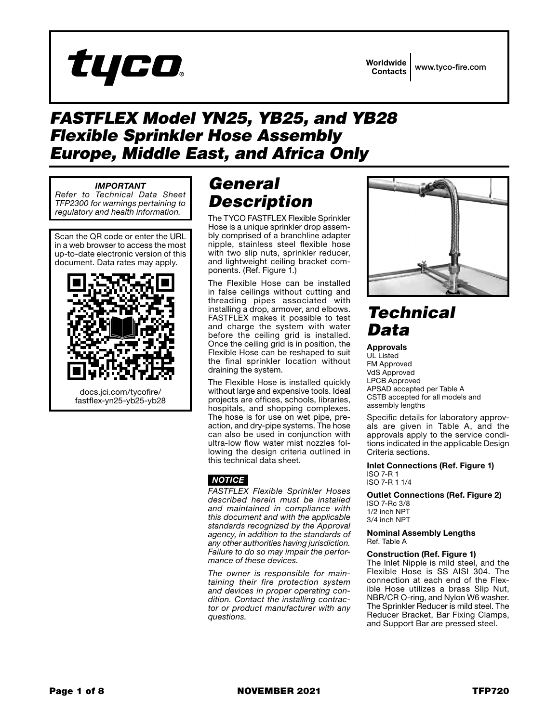

## *FASTFLEX Model YN25, YB25, and YB28 Flexible Sprinkler Hose Assembly Europe, Middle East, and Africa Only*

### *IMPORTANT*

*Refer to Technical Data Sheet TFP2300 for warnings pertaining to regulatory and health information.*

Scan the QR code or enter the URL in a web browser to access the most up-to-date electronic version of this document. Data rates may apply.



# *General Description*

The TYCO FASTFLEX Flexible Sprinkler Hose is a unique sprinkler drop assem bly comprised of a branchline adapter nipple, stainless steel flexible hose with two slip nuts, sprinkler reducer, and lightweight ceiling bracket com ponents. (Ref. Figure 1.)

The Flexible Hose can be installed in false ceilings without cutting and threading pipes associated with installing a drop, armover, and elbows. FASTFLEX makes it possible to test and charge the system with water before the ceiling grid is installed. Once the ceiling grid is in position, the Flexible Hose can be reshaped to suit the final sprinkler location without draining the system.

The Flexible Hose is installed quickly without large and expensive tools. Ideal projects are offices, schools, libraries, hospitals, and shopping complexes. The hose is for use on wet pipe, preaction, and dry-pipe systems. The hose can also be used in conjunction with ultra-low flow water mist nozzles fol lowing the design criteria outlined in this technical data sheet.

### *NOTICE*

*FASTFLEX Flexible Sprinkler Hoses described herein must be installed and maintained in compliance with this document and with the applicable standards recognized by the Approval agency, in addition to the standards of any other authorities having jurisdiction. Failure to do so may impair the performance of these devices.*

*The owner is responsible for main taining their fire protection system and devices in proper operating con dition. Contact the installing contrac tor or product manufacturer with any questions.*



# *Technical Data*

Approvals UL Listed FM Approved VdS Approved LPCB Approved APSAD accepted per Table A CSTB accepted for all models and assembly lengths

Specific details for laboratory approv als are given in Table A, and the approvals apply to the service condi tions indicated in the applicable Design Criteria sections.

Inlet Connections (Ref. Figure 1) ISO 7-R 1 ISO 7-R 1 1/4

Outlet Connections (Ref. Figure 2) ISO 7-Rc 3/8 1/2 inch NPT 3/4 inch NPT

Nominal Assembly Lengths Ref. Table A

#### Construction (Ref. Figure 1)

The Inlet Nipple is mild steel, and the Flexible Hose is SS AISI 304. The connection at each end of the Flex ible Hose utilizes a brass Slip Nut, NBR/CR O-ring, and Nylon W6 washer. The Sprinkler Reducer is mild steel. The Reducer Bracket, Bar Fixing Clamps, and Support Bar are pressed steel.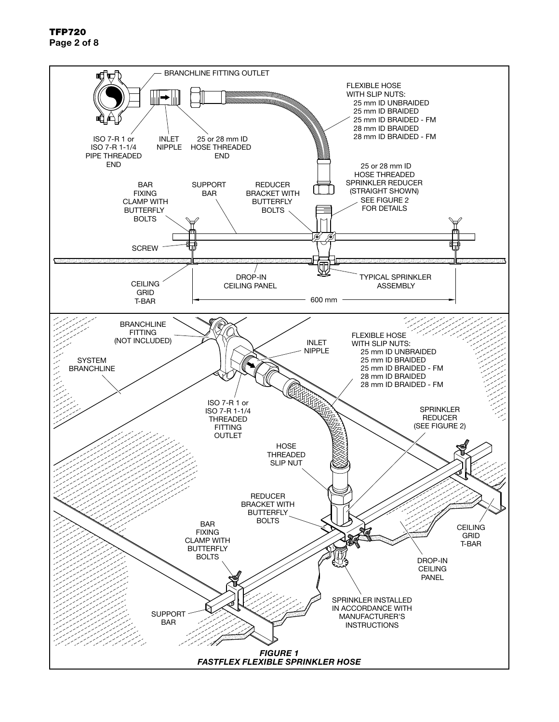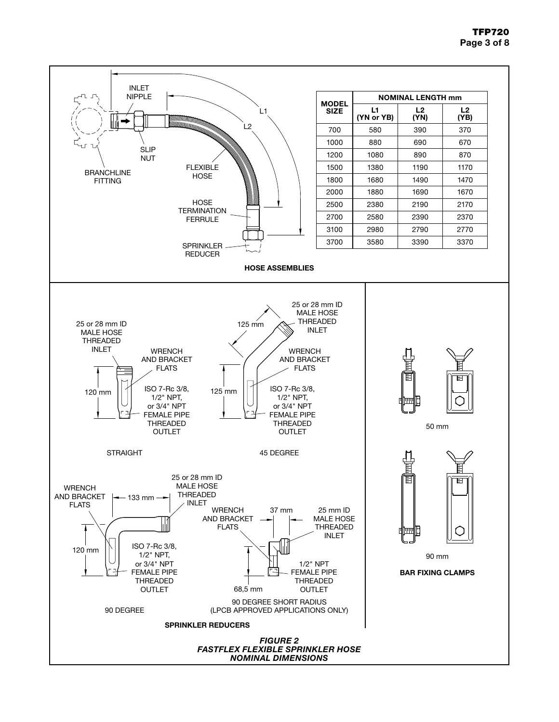### TFP720 Page 3 of 8

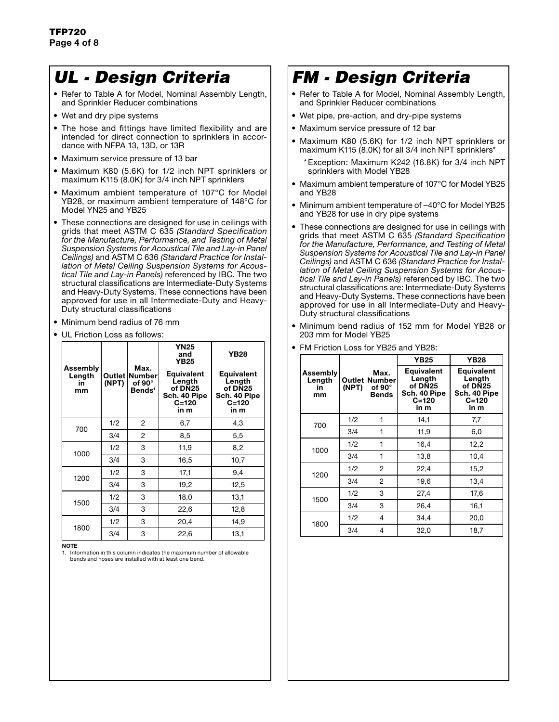## *UL - Design Criteria*

- Refer to Table A for Model, Nominal Assembly Length, and Sprinkler Reducer combinations
- Wet and dry pipe systems
- The hose and fittings have limited flexibility and are intended for direct connection to sprinklers in accordance with NFPA 13, 13D, or 13R
- Maximum service pressure of 13 bar
- Maximum K80 (5.6K) for 1/2 inch NPT sprinklers or maximum K115 (8.0K) for 3/4 inch NPT sprinklers
- Maximum ambient temperature of 107°C for Model YB28, or maximum ambient temperature of 148°C for Model YN25 and YB25
- These connections are designed for use in ceilings with grids that meet ASTM C 635 *(Standard Specification for the Manufacture, Performance, and Testing of Metal Suspension Systems for Acoustical Tile and Lay-in Panel Ceilings)* and ASTM C 636 *(Standard Practice for Installation of Metal Ceiling Suspension Systems for Acoustical Tile and Lay-in Panels)* referenced by IBC. The two structural classifications are Intermediate-Duty Systems and Heavy-Duty Systems. These connections have been approved for use in all Intermediate-Duty and Heavy-Duty structural classifications
- Minimum bend radius of 76 mm
- UL Friction Loss as follows:

|                                |                                                          | Max. | <b>YN25</b><br>and<br><b>YB25</b>                                           | <b>YB28</b>                                                                 |  |  |  |
|--------------------------------|----------------------------------------------------------|------|-----------------------------------------------------------------------------|-----------------------------------------------------------------------------|--|--|--|
| Assembly<br>Length<br>in<br>mm | Outlet   Number<br>(NPT)<br>of 90°<br>Bends <sup>1</sup> |      | <b>Equivalent</b><br>Length<br>of DN25<br>Sch. 40 Pipe<br>$C = 120$<br>in m | <b>Equivalent</b><br>Length<br>of DN25<br>Sch. 40 Pipe<br>$C = 120$<br>in m |  |  |  |
|                                | $\overline{c}$<br>1/2                                    |      | 6,7                                                                         | 4,3                                                                         |  |  |  |
| 700                            | 3/4                                                      | 2    | 8,5                                                                         | 5,5                                                                         |  |  |  |
| 1000                           | 1/2                                                      | 3    | 11,9                                                                        | 8,2                                                                         |  |  |  |
|                                | 3/4                                                      | 3    | 16,5                                                                        | 10,7                                                                        |  |  |  |
| 1200                           | 1/2                                                      | 3    | 17,1                                                                        | 9,4                                                                         |  |  |  |
|                                | 3/4                                                      | 3    | 19,2                                                                        | 12,5                                                                        |  |  |  |
| 1500                           | 1/2                                                      | 3    | 18,0                                                                        | 13,1                                                                        |  |  |  |
|                                | 3/4                                                      | 3    | 22,6                                                                        | 12,8                                                                        |  |  |  |
| 1800                           | 1/2                                                      | 3    | 20,4                                                                        | 14,9                                                                        |  |  |  |
|                                | 3/4                                                      | 3    | 22,6                                                                        | 13,1                                                                        |  |  |  |

NOTE

1. Information in this column indicates the maximum number of allowable bends and hoses are installed with at least one bend.

# *FM - Design Criteria*

- Refer to Table A for Model, Nominal Assembly Length, and Sprinkler Reducer combinations
- Wet pipe, pre-action, and dry-pipe systems
- Maximum service pressure of 12 bar
- Maximum K80 (5.6K) for 1/2 inch NPT sprinklers or maximum K115  $(8.0K)$  for all 3/4 inch NPT sprinklers<sup>\*</sup>
	- \*Exception: Maximum K242 (16.8K) for 3/4 inch NPT sprinklers with Model YB28
- Maximum ambient temperature of 107°C for Model YB25 and YB28
- Minimum ambient temperature of –40°C for Model YB25 and YB28 for use in dry pipe systems
- These connections are designed for use in ceilings with grids that meet ASTM C 635 *(Standard Specification for the Manufacture, Performance, and Testing of Metal Suspension Systems for Acoustical Tile and Lay-in Panel Ceilings)* and ASTM C 636 *(Standard Practice for Installation of Metal Ceiling Suspension Systems for Acoustical Tile and Lay-in Panels)* referenced by IBC. The two structural classifications are: Intermediate-Duty Systems and Heavy-Duty Systems. These connections have been approved for use in all Intermediate-Duty and Heavy-Duty structural classifications
- Minimum bend radius of 152 mm for Model YB28 or 203 mm for Model YB25

|                                |                                                                                                                         |   | YB25<br><b>YB28</b> |                                                                             |  |  |  |
|--------------------------------|-------------------------------------------------------------------------------------------------------------------------|---|---------------------|-----------------------------------------------------------------------------|--|--|--|
| Assembly<br>Length<br>in<br>mm | Equivalent<br>Max.<br>Length<br>Outlet Number<br>of DN25<br>of $90^\circ$<br>(NPT)<br><b>Bends</b><br>$C = 120$<br>in m |   | Sch. 40 Pipe        | <b>Equivalent</b><br>Length<br>of DN25<br>Sch. 40 Pipe<br>$C = 120$<br>in m |  |  |  |
| 700                            | 1/2                                                                                                                     | 1 | 14.1                | 7,7                                                                         |  |  |  |
|                                | 3/4                                                                                                                     | 1 | 11,9                | 6,0                                                                         |  |  |  |
| 1000                           | 1/2                                                                                                                     | 1 | 16,4                | 12,2                                                                        |  |  |  |
|                                | 3/4                                                                                                                     | 1 | 13,8                | 10,4                                                                        |  |  |  |
| 1200                           | 1/2                                                                                                                     | 2 | 22,4                | 15,2                                                                        |  |  |  |
|                                | 3/4                                                                                                                     | 2 | 19,6                | 13,4                                                                        |  |  |  |
| 1500                           | 1/2                                                                                                                     | 3 | 27,4                | 17,6                                                                        |  |  |  |
|                                | 3/4                                                                                                                     | 3 | 26,4                | 16,1                                                                        |  |  |  |
| 1800                           | 1/2                                                                                                                     | 4 | 34,4                | 20,0                                                                        |  |  |  |
|                                | 3/4                                                                                                                     | 4 | 32,0                | 18,7                                                                        |  |  |  |

• FM Friction Loss for YB25 and YB28: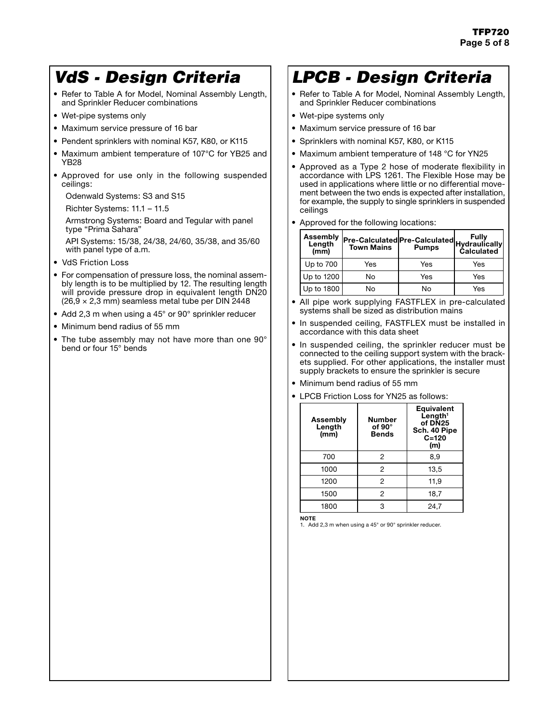## *VdS - Design Criteria*

- Refer to Table A for Model, Nominal Assembly Length, and Sprinkler Reducer combinations
- Wet-pipe systems only
- Maximum service pressure of 16 bar
- Pendent sprinklers with nominal K57, K80, or K115
- Maximum ambient temperature of 107°C for YB25 and YB28
- Approved for use only in the following suspended ceilings:

Odenwald Systems: S3 and S15

Richter Systems: 11.1 – 11.5

Armstrong Systems: Board and Tegular with panel type "Prima Sahara"

API Systems: 15/38, 24/38, 24/60, 35/38, and 35/60 with panel type of a.m.

- VdS Friction Loss
- For compensation of pressure loss, the nominal assembly length is to be multiplied by 12. The resulting length will provide pressure drop in equivalent length DN20  $(26, 9 \times 2, 3 \text{ mm})$  seamless metal tube per DIN 2448
- Add 2,3 m when using a 45° or 90° sprinkler reducer
- Minimum bend radius of 55 mm
- The tube assembly may not have more than one 90° bend or four 15° bends

# *LPCB - Design Criteria*

- Refer to Table A for Model, Nominal Assembly Length, and Sprinkler Reducer combinations
- Wet-pipe systems only
- Maximum service pressure of 16 bar
- Sprinklers with nominal K57, K80, or K115
- Maximum ambient temperature of 148 °C for YN25
- Approved as a Type 2 hose of moderate flexibility in accordance with LPS 1261. The Flexible Hose may be used in applications where little or no differential movement between the two ends is expected after installation, for example, the supply to single sprinklers in suspended ceilings
- Approved for the following locations:

| Assembly<br>Length<br>(mm) | Pre-Calculated Pre-Calculated Hydraulically<br><b>Town Mains</b> | <b>Pumps</b> | Fully<br><b>Calculated</b> |
|----------------------------|------------------------------------------------------------------|--------------|----------------------------|
| Up to 700                  | Yes                                                              | Yes          | Yes                        |
| Up to 1200                 | No                                                               | Yes          | Yes                        |
| Up to 1800                 | No                                                               | No           | Yes                        |

- All pipe work supplying FASTFLEX in pre-calculated systems shall be sized as distribution mains
- In suspended ceiling, FASTFLEX must be installed in accordance with this data sheet
- In suspended ceiling, the sprinkler reducer must be connected to the ceiling support system with the brackets supplied. For other applications, the installer must supply brackets to ensure the sprinkler is secure
- Minimum bend radius of 55 mm
- LPCB Friction Loss for YN25 as follows:

| Assembly<br>Length<br>(mm) | Number<br>of $90^\circ$<br><b>Bends</b> | <b>Equivalent</b><br>$L$ ength <sup>1</sup><br>of DN25<br>Sch. 40 Pipe<br>$C = 120$<br>(m) |  |  |  |  |  |
|----------------------------|-----------------------------------------|--------------------------------------------------------------------------------------------|--|--|--|--|--|
| 700                        | 2                                       | 8,9                                                                                        |  |  |  |  |  |
| 1000                       | 2                                       | 13,5                                                                                       |  |  |  |  |  |
| 1200                       | 2                                       | 11,9                                                                                       |  |  |  |  |  |
| 1500                       | 2                                       | 18,7                                                                                       |  |  |  |  |  |
| 1800                       | 3                                       | 24,7                                                                                       |  |  |  |  |  |

NOTE

1. Add 2,3 m when using a 45° or 90° sprinkler reducer.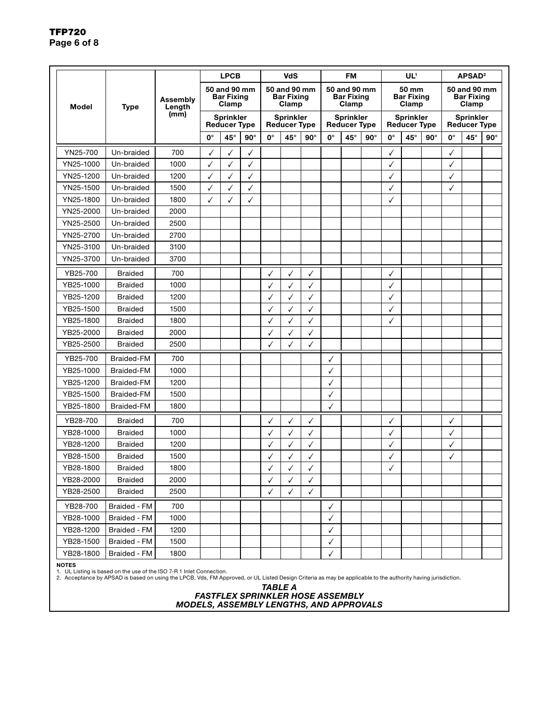|           |                   |                    |                                            | <b>LPCB</b>                             |            |                                            | <b>VdS</b>                              |            |                                            | <b>FM</b>                               |            |              | UL <sup>1</sup>                     |            |                                            | APSAD <sup>2</sup> |            |
|-----------|-------------------|--------------------|--------------------------------------------|-----------------------------------------|------------|--------------------------------------------|-----------------------------------------|------------|--------------------------------------------|-----------------------------------------|------------|--------------|-------------------------------------|------------|--------------------------------------------|--------------------|------------|
| Model     | <b>Type</b>       | Assembly<br>Length | 50 and 90 mm<br><b>Bar Fixing</b><br>Clamp |                                         |            | 50 and 90 mm<br><b>Bar Fixing</b><br>Clamp |                                         |            | 50 and 90 mm<br><b>Bar Fixing</b><br>Clamp |                                         |            |              | 50 mm<br><b>Bar Fixing</b><br>Clamp |            | 50 and 90 mm<br><b>Bar Fixing</b><br>Clamp |                    |            |
|           |                   | (mm)               |                                            | <b>Sprinkler</b><br><b>Reducer Type</b> |            |                                            | <b>Sprinkler</b><br><b>Reducer Type</b> |            |                                            | <b>Sprinkler</b><br><b>Reducer Type</b> |            |              | Sprinkler<br><b>Reducer Type</b>    |            | <b>Sprinkler</b><br><b>Reducer Type</b>    |                    |            |
|           |                   |                    | $0^{\circ}$                                | $45^{\circ}$                            | $90^\circ$ | $0^{\circ}$                                | 45°                                     | $90^\circ$ | $0^{\circ}$                                | $45^{\circ}$                            | $90^\circ$ | $0^{\circ}$  | $45^{\circ}$                        | $90^\circ$ | 0°                                         | $45^{\circ}$       | $90^\circ$ |
| YN25-700  | Un-braided        | 700                | ✓                                          | ✓                                       | ✓          |                                            |                                         |            |                                            |                                         |            | ✓            |                                     |            | ✓                                          |                    |            |
| YN25-1000 | Un-braided        | 1000               |                                            | ✓                                       | ✓          |                                            |                                         |            |                                            |                                         |            |              |                                     |            | ✓                                          |                    |            |
| YN25-1200 | Un-braided        | 1200               | ✓                                          | √                                       | √          |                                            |                                         |            |                                            |                                         |            | √            |                                     |            | √                                          |                    |            |
| YN25-1500 | Un-braided        | 1500               |                                            | √                                       | ✓          |                                            |                                         |            |                                            |                                         |            | √            |                                     |            | ✓                                          |                    |            |
| YN25-1800 | Un-braided        | 1800               | ✓                                          | ✓                                       | √          |                                            |                                         |            |                                            |                                         |            | ✓            |                                     |            |                                            |                    |            |
| YN25-2000 | Un-braided        | 2000               |                                            |                                         |            |                                            |                                         |            |                                            |                                         |            |              |                                     |            |                                            |                    |            |
| YN25-2500 | Un-braided        | 2500               |                                            |                                         |            |                                            |                                         |            |                                            |                                         |            |              |                                     |            |                                            |                    |            |
| YN25-2700 | Un-braided        | 2700               |                                            |                                         |            |                                            |                                         |            |                                            |                                         |            |              |                                     |            |                                            |                    |            |
| YN25-3100 | Un-braided        | 3100               |                                            |                                         |            |                                            |                                         |            |                                            |                                         |            |              |                                     |            |                                            |                    |            |
| YN25-3700 | Un-braided        | 3700               |                                            |                                         |            |                                            |                                         |            |                                            |                                         |            |              |                                     |            |                                            |                    |            |
| YB25-700  | <b>Braided</b>    | 700                |                                            |                                         |            |                                            | ✓                                       | ✓          |                                            |                                         |            | ✓            |                                     |            |                                            |                    |            |
| YB25-1000 | <b>Braided</b>    | 1000               |                                            |                                         |            |                                            | ✓                                       | ✓          |                                            |                                         |            |              |                                     |            |                                            |                    |            |
| YB25-1200 | <b>Braided</b>    | 1200               |                                            |                                         |            |                                            | ✓                                       | ✓          |                                            |                                         |            | √            |                                     |            |                                            |                    |            |
| YB25-1500 | <b>Braided</b>    | 1500               |                                            |                                         |            | ✓                                          | ✓                                       | ✓          |                                            |                                         |            | ✓            |                                     |            |                                            |                    |            |
| YB25-1800 | <b>Braided</b>    | 1800               |                                            |                                         |            |                                            | ✓                                       | ✓          |                                            |                                         |            | ✓            |                                     |            |                                            |                    |            |
| YB25-2000 | <b>Braided</b>    | 2000               |                                            |                                         |            | ✓                                          | √                                       | ✓          |                                            |                                         |            |              |                                     |            |                                            |                    |            |
| YB25-2500 | <b>Braided</b>    | 2500               |                                            |                                         |            |                                            | ✓                                       | ✓          |                                            |                                         |            |              |                                     |            |                                            |                    |            |
| YB25-700  | Braided-FM        | 700                |                                            |                                         |            |                                            |                                         |            | ✓                                          |                                         |            |              |                                     |            |                                            |                    |            |
| YB25-1000 | <b>Braided-FM</b> | 1000               |                                            |                                         |            |                                            |                                         |            | √                                          |                                         |            |              |                                     |            |                                            |                    |            |
| YB25-1200 | <b>Braided-FM</b> | 1200               |                                            |                                         |            |                                            |                                         |            | ✓                                          |                                         |            |              |                                     |            |                                            |                    |            |
| YB25-1500 | <b>Braided-FM</b> | 1500               |                                            |                                         |            |                                            |                                         |            |                                            |                                         |            |              |                                     |            |                                            |                    |            |
| YB25-1800 | <b>Braided-FM</b> | 1800               |                                            |                                         |            |                                            |                                         |            | √                                          |                                         |            |              |                                     |            |                                            |                    |            |
| YB28-700  | <b>Braided</b>    | 700                |                                            |                                         |            |                                            | √                                       | ✓          |                                            |                                         |            | √            |                                     |            | ✓                                          |                    |            |
| YB28-1000 | <b>Braided</b>    | 1000               |                                            |                                         |            |                                            |                                         | ✓          |                                            |                                         |            | $\checkmark$ |                                     |            | ✓                                          |                    |            |
| YB28-1200 | <b>Braided</b>    | 1200               |                                            |                                         |            | ✓                                          | ✓                                       | ✓          |                                            |                                         |            | √            |                                     |            | √                                          |                    |            |
| YB28-1500 | <b>Braided</b>    | 1500               |                                            |                                         |            |                                            | ✓                                       | ✓          |                                            |                                         |            | ✓            |                                     |            | √                                          |                    |            |
| YB28-1800 | <b>Braided</b>    | 1800               |                                            |                                         |            |                                            |                                         | ✓          |                                            |                                         |            | $\checkmark$ |                                     |            |                                            |                    |            |
| YB28-2000 | <b>Braided</b>    | 2000               |                                            |                                         |            | ✓                                          | $\checkmark$                            | ✓          |                                            |                                         |            |              |                                     |            |                                            |                    |            |
| YB28-2500 | <b>Braided</b>    | 2500               |                                            |                                         |            | ✓                                          | ✓                                       | ✓          |                                            |                                         |            |              |                                     |            |                                            |                    |            |
| YB28-700  | Braided - FM      | 700                |                                            |                                         |            |                                            |                                         |            | ✓                                          |                                         |            |              |                                     |            |                                            |                    |            |
| YB28-1000 | Braided - FM      | 1000               |                                            |                                         |            |                                            |                                         |            | ✓                                          |                                         |            |              |                                     |            |                                            |                    |            |
| YB28-1200 | Braided - FM      | 1200               |                                            |                                         |            |                                            |                                         |            | ✓                                          |                                         |            |              |                                     |            |                                            |                    |            |
| YB28-1500 | Braided - FM      | 1500               |                                            |                                         |            |                                            |                                         |            | ✓                                          |                                         |            |              |                                     |            |                                            |                    |            |
| YB28-1800 | Braided - FM      | 1800               |                                            |                                         |            |                                            |                                         |            | ✓                                          |                                         |            |              |                                     |            |                                            |                    |            |

**NOTES**<br>1. UL Listing is based on the use of the ISO 7-R 1 Inlet Connection.<br>2. Acceptance by APSAD is based on using the LPCB, Vds, FM Approved, or UL Listed Design Criteria as may be applicable to the authority having

#### *TABLE A FASTFLEX SPRINKLER HOSE ASSEMBLY MODELS, ASSEMBLY LENGTHS, AND APPROVALS*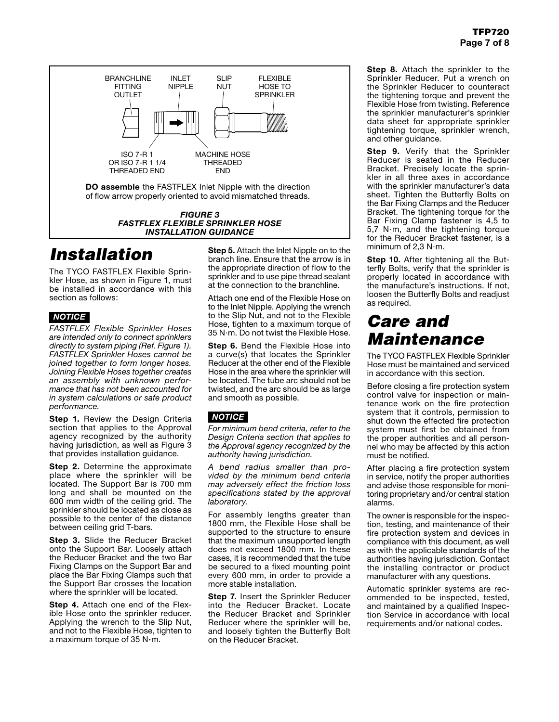

## *Installation*

The TYCO FASTFLEX Flexible Sprinkler Hose, as shown in Figure 1, must be installed in accordance with this section as follows:

### *NOTICE*

*FASTFLEX Flexible Sprinkler Hoses are intended only to connect sprinklers directly to system piping (Ref. Figure 1). FASTFLEX Sprinkler Hoses cannot be joined together to form longer hoses. Joining Flexible Hoses together creates an assembly with unknown performance that has not been accounted for in system calculations or safe product performance.*

Step 1. Review the Design Criteria section that applies to the Approval agency recognized by the authority having jurisdiction, as well as Figure 3 that provides installation guidance.

Step 2. Determine the approximate place where the sprinkler will be located. The Support Bar is 700 mm long and shall be mounted on the 600 mm width of the ceiling grid. The sprinkler should be located as close as possible to the center of the distance between ceiling grid T-bars.

Step 3. Slide the Reducer Bracket onto the Support Bar. Loosely attach the Reducer Bracket and the two Bar Fixing Clamps on the Support Bar and place the Bar Fixing Clamps such that the Support Bar crosses the location where the sprinkler will be located.

Step 4. Attach one end of the Flexible Hose onto the sprinkler reducer. Applying the wrench to the Slip Nut, and not to the Flexible Hose, tighten to a maximum torque of 35 N·m.

Step 5. Attach the Inlet Nipple on to the branch line. Ensure that the arrow is in the appropriate direction of flow to the sprinkler and to use pipe thread sealant at the connection to the branchline.

Attach one end of the Flexible Hose on to the Inlet Nipple. Applying the wrench to the Slip Nut, and not to the Flexible Hose, tighten to a maximum torque of 35 N·m. Do not twist the Flexible Hose.

Step 6. Bend the Flexible Hose into a curve(s) that locates the Sprinkler Reducer at the other end of the Flexible Hose in the area where the sprinkler will be located. The tube arc should not be twisted, and the arc should be as large and smooth as possible.

### *NOTICE*

*For minimum bend criteria, refer to the Design Criteria section that applies to the Approval agency recognized by the authority having jurisdiction.*

*A bend radius smaller than provided by the minimum bend criteria may adversely effect the friction loss specifications stated by the approval laboratory.*

For assembly lengths greater than 1800 mm, the Flexible Hose shall be supported to the structure to ensure that the maximum unsupported length does not exceed 1800 mm. In these cases, it is recommended that the tube be secured to a fixed mounting point every 600 mm, in order to provide a more stable installation.

Step 7. Insert the Sprinkler Reducer into the Reducer Bracket. Locate the Reducer Bracket and Sprinkler Reducer where the sprinkler will be, and loosely tighten the Butterfly Bolt on the Reducer Bracket.

Step 8. Attach the sprinkler to the Sprinkler Reducer. Put a wrench on the Sprinkler Reducer to counteract the tightening torque and prevent the Flexible Hose from twisting. Reference the sprinkler manufacturer's sprinkler data sheet for appropriate sprinkler tightening torque, sprinkler wrench, and other guidance.

Step 9. Verify that the Sprinkler Reducer is seated in the Reducer Bracket. Precisely locate the sprinkler in all three axes in accordance with the sprinkler manufacturer's data sheet. Tighten the Butterfly Bolts on the Bar Fixing Clamps and the Reducer Bracket. The tightening torque for the Bar Fixing Clamp fastener is 4,5 to 5,7 N·m, and the tightening torque for the Reducer Bracket fastener, is a minimum of 2,3 N·m.

Step 10. After tightening all the Butterfly Bolts, verify that the sprinkler is properly located in accordance with the manufacture's instructions. If not, loosen the Butterfly Bolts and readjust as required.

## *Care and Maintenance*

The TYCO FASTFLEX Flexible Sprinkler Hose must be maintained and serviced in accordance with this section.

Before closing a fire protection system control valve for inspection or maintenance work on the fire protection system that it controls, permission to shut down the effected fire protection system must first be obtained from the proper authorities and all personnel who may be affected by this action must be notified.

After placing a fire protection system in service, notify the proper authorities and advise those responsible for monitoring proprietary and/or central station alarms.

The owner is responsible for the inspection, testing, and maintenance of their fire protection system and devices in compliance with this document, as well as with the applicable standards of the authorities having jurisdiction. Contact the installing contractor or product manufacturer with any questions.

Automatic sprinkler systems are recommended to be inspected, tested, and maintained by a qualified Inspection Service in accordance with local requirements and/or national codes.